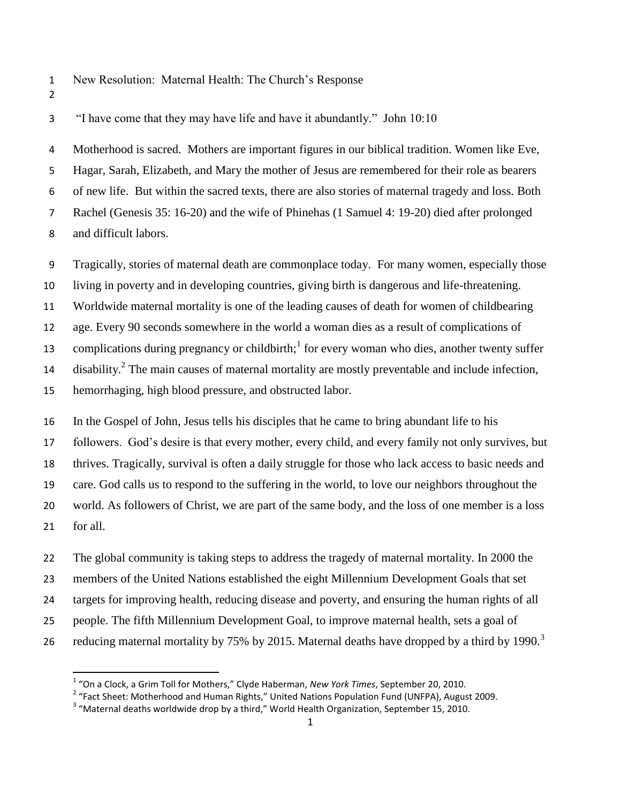- New Resolution: Maternal Health: The Church's Response
- 

 $\overline{a}$ 

"I have come that they may have life and have it abundantly." John 10:10

 Motherhood is sacred. Mothers are important figures in our biblical tradition. Women like Eve, Hagar, Sarah, Elizabeth, and Mary the mother of Jesus are remembered for their role as bearers of new life. But within the sacred texts, there are also stories of maternal tragedy and loss. Both Rachel (Genesis 35: 16-20) and the wife of Phinehas (1 Samuel 4: 19-20) died after prolonged and difficult labors.

Tragically, stories of maternal death are commonplace today. For many women, especially those

living in poverty and in developing countries, giving birth is dangerous and life-threatening.

Worldwide maternal mortality is one of the leading causes of death for women of childbearing

age. Every 90 seconds somewhere in the world a woman dies as a result of complications of

13 complications during pregnancy or childbirth;<sup>1</sup> for every woman who dies, another twenty suffer

14 disability.<sup>2</sup> The main causes of maternal mortality are mostly preventable and include infection,

hemorrhaging, high blood pressure, and obstructed labor.

 In the Gospel of John, Jesus tells his disciples that he came to bring abundant life to his followers. God's desire is that every mother, every child, and every family not only survives, but thrives. Tragically, survival is often a daily struggle for those who lack access to basic needs and care. God calls us to respond to the suffering in the world, to love our neighbors throughout the world. As followers of Christ, we are part of the same body, and the loss of one member is a loss for all.

 The global community is taking steps to address the tragedy of maternal mortality. In 2000 the members of the United Nations established the eight Millennium Development Goals that set targets for improving health, reducing disease and poverty, and ensuring the human rights of all people. The fifth Millennium Development Goal, to improve maternal health, sets a goal of reducing maternal mortality by 75% by 2015. Maternal deaths have dropped by a third by 1990.<sup>3</sup> 

"On a Clock, a Grim Toll for Mothers," Clyde Haberman, *New York Times*, September 20, 2010.

<sup>&</sup>lt;sup>2</sup> "Fact Sheet: Motherhood and Human Rights," United Nations Population Fund (UNFPA), August 2009.

"Maternal deaths worldwide drop by a third," World Health Organization, September 15, 2010.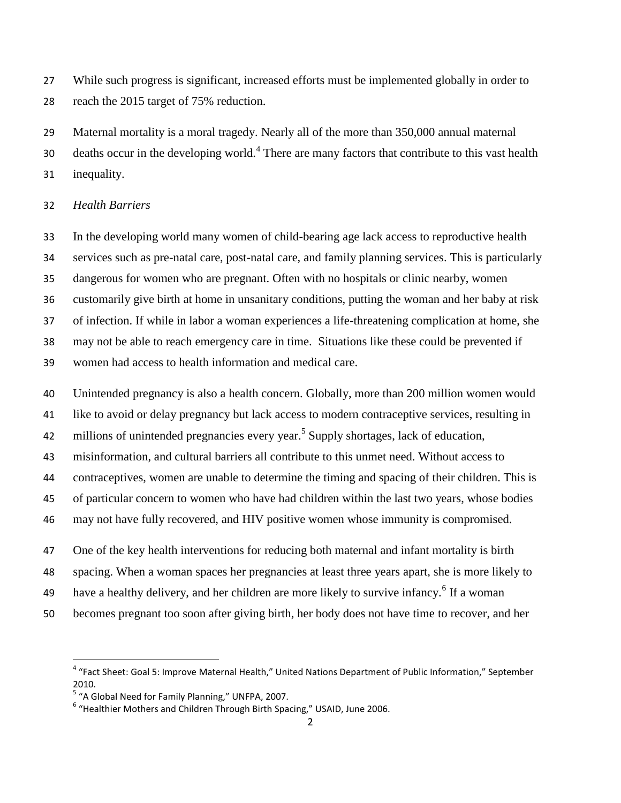While such progress is significant, increased efforts must be implemented globally in order to reach the 2015 target of 75% reduction.

 Maternal mortality is a moral tragedy. Nearly all of the more than 350,000 annual maternal 30 deaths occur in the developing world. There are many factors that contribute to this vast health inequality.

## *Health Barriers*

 In the developing world many women of child-bearing age lack access to reproductive health services such as pre-natal care, post-natal care, and family planning services. This is particularly dangerous for women who are pregnant. Often with no hospitals or clinic nearby, women customarily give birth at home in unsanitary conditions, putting the woman and her baby at risk of infection. If while in labor a woman experiences a life-threatening complication at home, she may not be able to reach emergency care in time. Situations like these could be prevented if women had access to health information and medical care.

Unintended pregnancy is also a health concern. Globally, more than 200 million women would

like to avoid or delay pregnancy but lack access to modern contraceptive services, resulting in

42 millions of unintended pregnancies every year.<sup>5</sup> Supply shortages, lack of education,

misinformation, and cultural barriers all contribute to this unmet need. Without access to

contraceptives, women are unable to determine the timing and spacing of their children. This is

of particular concern to women who have had children within the last two years, whose bodies

may not have fully recovered, and HIV positive women whose immunity is compromised.

One of the key health interventions for reducing both maternal and infant mortality is birth

spacing. When a woman spaces her pregnancies at least three years apart, she is more likely to

49 have a healthy delivery, and her children are more likely to survive infancy.<sup>6</sup> If a woman

becomes pregnant too soon after giving birth, her body does not have time to recover, and her

 4 "Fact Sheet: Goal 5: Improve Maternal Health," United Nations Department of Public Information," September 2010.

<sup>&</sup>lt;sup>5</sup> "A Global Need for Family Planning," UNFPA, 2007.

<sup>&</sup>lt;sup>6</sup> "Healthier Mothers and Children Through Birth Spacing," USAID, June 2006.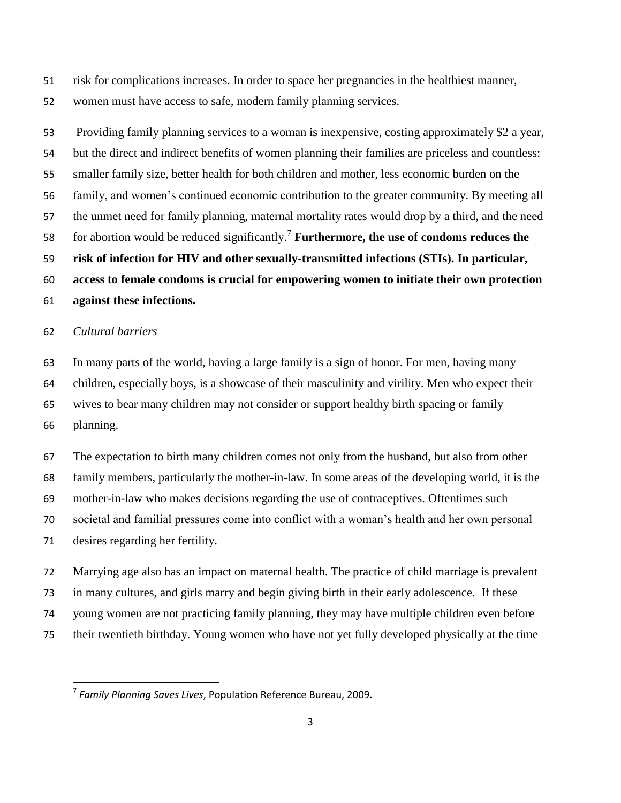risk for complications increases. In order to space her pregnancies in the healthiest manner,

women must have access to safe, modern family planning services.

 Providing family planning services to a woman is inexpensive, costing approximately \$2 a year, but the direct and indirect benefits of women planning their families are priceless and countless: smaller family size, better health for both children and mother, less economic burden on the family, and women's continued economic contribution to the greater community. By meeting all the unmet need for family planning, maternal mortality rates would drop by a third, and the need 58 for abortion would be reduced significantly.<sup>7</sup> Furthermore, the use of condoms reduces the **risk of infection for HIV and other sexually-transmitted infections (STIs). In particular, access to female condoms is crucial for empowering women to initiate their own protection against these infections.**

## *Cultural barriers*

 $\overline{a}$ 

 In many parts of the world, having a large family is a sign of honor. For men, having many children, especially boys, is a showcase of their masculinity and virility. Men who expect their wives to bear many children may not consider or support healthy birth spacing or family planning.

 The expectation to birth many children comes not only from the husband, but also from other family members, particularly the mother-in-law. In some areas of the developing world, it is the mother-in-law who makes decisions regarding the use of contraceptives. Oftentimes such societal and familial pressures come into conflict with a woman's health and her own personal desires regarding her fertility.

 Marrying age also has an impact on maternal health. The practice of child marriage is prevalent in many cultures, and girls marry and begin giving birth in their early adolescence. If these young women are not practicing family planning, they may have multiple children even before their twentieth birthday. Young women who have not yet fully developed physically at the time

*Family Planning Saves Lives*, Population Reference Bureau, 2009.